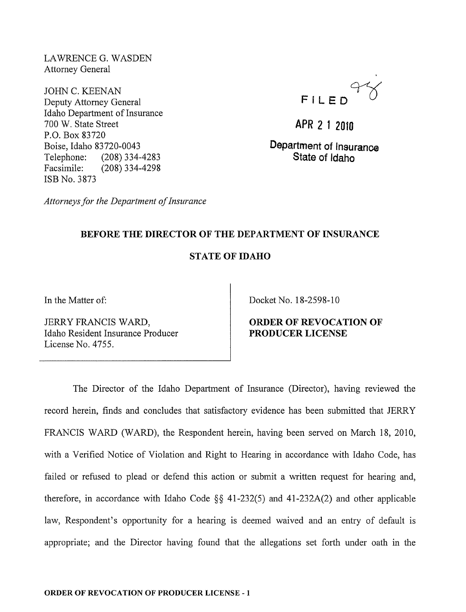LAWRENCE G. WASDEN Attorney General

JOHN C. KEENAN Deputy Attorney General Idaho Department of Insurance 700 W. State Street P.O. Box 83720 Boise, Idaho 83720-0043 Telephone: (208) 334-4283 Facsimile: (208) 334-4298 ISB No. 3873

**FILEOCfQ** 

**APR 2 1 2010** 

**Department of Insurance State of Idaho** 

*Attorneys for the Department of Insurance* 

# **BEFORE THE DIRECTOR OF THE DEPARTMENT OF INSURANCE**

## **STATE OF IDAHO**

In the Matter of:

JERRY FRANCIS WARD, Idaho Resident Insurance Producer License No. 4755.

Docket No. 18-2598-10

### **ORDER OF REVOCATION OF PRODUCER LICENSE**

The Director of the Idaho Department of Insurance (Director), having reviewed the record herein, finds and concludes that satisfactory evidence has been submitted that JERRY FRANCIS WARD (WARD), the Respondent herein, having been served on March 18, 2010, with a Verified Notice of Violation and Right to Hearing in accordance with Idaho Code, has failed or refused to plead or defend this action or submit a written request for hearing and, therefore, in accordance with Idaho Code  $\S$ § 41-232(5) and 41-232A(2) and other applicable law, Respondent's opportunity for a hearing is deemed waived and an entry of default is appropriate; and the Director having found that the allegations set forth under oath in the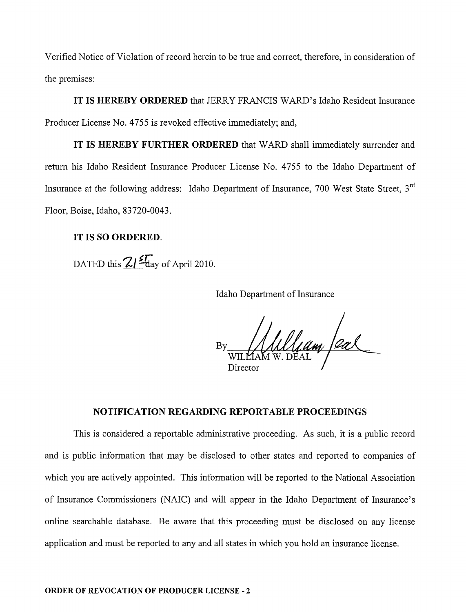Verified Notice of Violation of record herein to be true and correct, therefore, in consideration of the premises:

IT IS HEREBY ORDERED that JERRY FRANCIS WARD's Idaho Resident Insurance Producer License No. 4755 is revoked effective immediately; and,

IT IS HEREBY FURTHER ORDERED that WARD shall immediately surrender and return his Idaho Resident Insurance Producer License No. 4755 to the Idaho Department of Insurance at the following address: Idaho Department of Insurance, 700 West State Street, 3<sup>rd</sup> Floor, Boise, Idaho, 83720-0043.

#### IT IS SO ORDERED.

DATED this  $2/\frac{2\pi}{\log x}$  of April 2010.

Idaho Department of Insurance

 $\int_{M} M \int_{M} d\mu$  /eal Director

### NOTIFICATION REGARDING REPORTABLE PROCEEDINGS

This is considered a reportable administrative proceeding. As such, it is a public record and is public information that may be disclosed to other states and reported to companies of which you are actively appointed. This information will be reported to the National Association of Insurance Commissioners (NAIC) and will appear in the Idaho Department of Insurance's online searchable database. Be aware that this proceeding must be disclosed on any license application and must be reported to any and all states in which you hold an insurance license.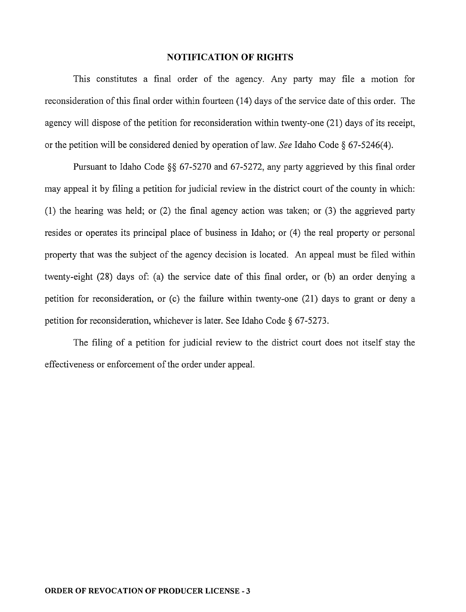#### **NOTIFICATION OF RIGHTS**

This constitutes a final order of the agency. Any party may file a motion for reconsideration of this final order within fourteen (14) days of the service date of this order. The agency will dispose of the petition for reconsideration within twenty-one (21) days of its receipt, or the petition will be considered denied by operation of law. *See* Idaho Code § 67 -5246( 4).

Pursuant to Idaho Code §§ 67-5270 and 67-5272, any party aggrieved by this final order may appeal it by filing a petition for judicial review in the district court of the county in which: (1) the hearing was held; or (2) the final agency action was taken; or (3) the aggrieved party resides or operates its principal place of business in Idaho; or (4) the real property or personal property that was the subject of the agency decision is located. An appeal must be filed within twenty-eight (28) days of: (a) the service date of this final order, or (b) an order denying a petition for reconsideration, or (c) the failure within twenty-one (21) days to grant or deny a petition for reconsideration, whichever is later. See Idaho Code § 67-5273.

The filing of a petition for judicial review to the district court does not itself stay the effectiveness or enforcement of the order under appeal.